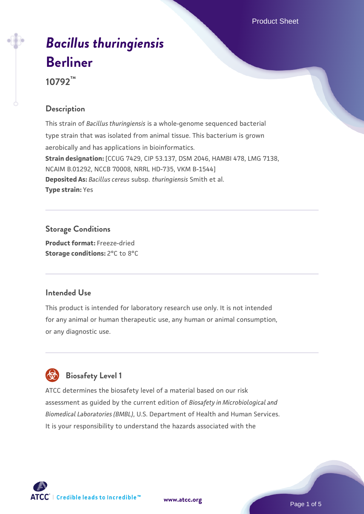# *[Bacillus thuringiensis](https://www.atcc.org/products/10792)* **[Berliner](https://www.atcc.org/products/10792)**

**10792™**

# **Description**

This strain of *Bacillus thuringiensis* is a whole-genome sequenced bacterial type strain that was isolated from animal tissue. This bacterium is grown aerobically and has applications in bioinformatics. **Strain designation:** [CCUG 7429, CIP 53.137, DSM 2046, HAMBI 478, LMG 7138, NCAIM B.01292, NCCB 70008, NRRL HD-735, VKM B-1544] **Deposited As:** *Bacillus cereus* subsp. *thuringiensis* Smith et al. **Type strain:** Yes

# **Storage Conditions**

**Product format:** Freeze-dried **Storage conditions:** 2°C to 8°C

# **Intended Use**

This product is intended for laboratory research use only. It is not intended for any animal or human therapeutic use, any human or animal consumption, or any diagnostic use.



# **Biosafety Level 1**

ATCC determines the biosafety level of a material based on our risk assessment as guided by the current edition of *Biosafety in Microbiological and Biomedical Laboratories (BMBL)*, U.S. Department of Health and Human Services. It is your responsibility to understand the hazards associated with the

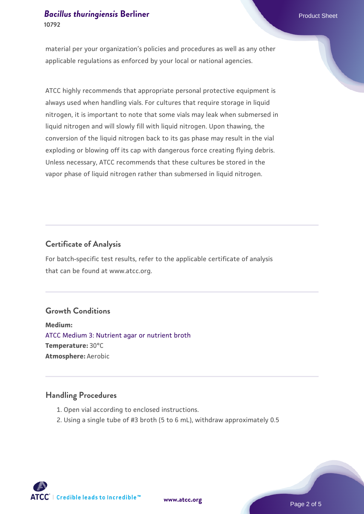material per your organization's policies and procedures as well as any other applicable regulations as enforced by your local or national agencies.

ATCC highly recommends that appropriate personal protective equipment is always used when handling vials. For cultures that require storage in liquid nitrogen, it is important to note that some vials may leak when submersed in liquid nitrogen and will slowly fill with liquid nitrogen. Upon thawing, the conversion of the liquid nitrogen back to its gas phase may result in the vial exploding or blowing off its cap with dangerous force creating flying debris. Unless necessary, ATCC recommends that these cultures be stored in the vapor phase of liquid nitrogen rather than submersed in liquid nitrogen.

### **Certificate of Analysis**

For batch-specific test results, refer to the applicable certificate of analysis that can be found at www.atcc.org.

# **Growth Conditions**

**Medium:**  [ATCC Medium 3: Nutrient agar or nutrient broth](https://www.atcc.org/-/media/product-assets/documents/microbial-media-formulations/3/atcc-medium-3.pdf?rev=7510837507e64d849c62a46b5b2197a1) **Temperature:** 30°C **Atmosphere:** Aerobic

#### **Handling Procedures**

- 1. Open vial according to enclosed instructions.
- 2. Using a single tube of #3 broth (5 to 6 mL), withdraw approximately 0.5

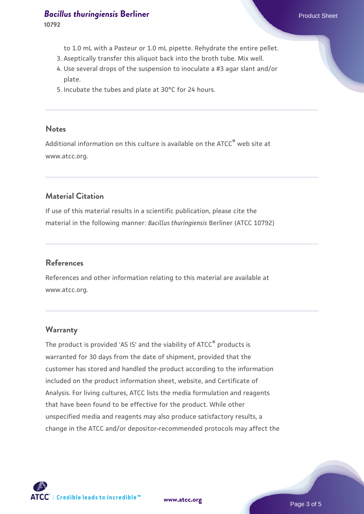# *[Bacillus thuringiensis](https://www.atcc.org/products/10792)* [Berliner](https://www.atcc.org/products/10792) **Product Sheet** Product Sheet

**10792**

- to 1.0 mL with a Pasteur or 1.0 mL pipette. Rehydrate the entire pellet.
- 3. Aseptically transfer this aliquot back into the broth tube. Mix well.
- Use several drops of the suspension to inoculate a #3 agar slant and/or 4. plate.
- 5. Incubate the tubes and plate at 30°C for 24 hours.

#### **Notes**

Additional information on this culture is available on the ATCC® web site at www.atcc.org.

# **Material Citation**

If use of this material results in a scientific publication, please cite the material in the following manner: *Bacillus thuringiensis* Berliner (ATCC 10792)

#### **References**

References and other information relating to this material are available at www.atcc.org.

#### **Warranty**

The product is provided 'AS IS' and the viability of ATCC® products is warranted for 30 days from the date of shipment, provided that the customer has stored and handled the product according to the information included on the product information sheet, website, and Certificate of Analysis. For living cultures, ATCC lists the media formulation and reagents that have been found to be effective for the product. While other unspecified media and reagents may also produce satisfactory results, a change in the ATCC and/or depositor-recommended protocols may affect the

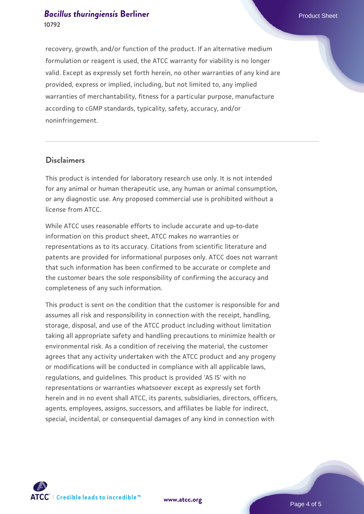#### *[Bacillus thuringiensis](https://www.atcc.org/products/10792)* [Berliner](https://www.atcc.org/products/10792) **Product Sheet** Product Sheet **10792**

recovery, growth, and/or function of the product. If an alternative medium formulation or reagent is used, the ATCC warranty for viability is no longer valid. Except as expressly set forth herein, no other warranties of any kind are provided, express or implied, including, but not limited to, any implied warranties of merchantability, fitness for a particular purpose, manufacture according to cGMP standards, typicality, safety, accuracy, and/or noninfringement.

#### **Disclaimers**

This product is intended for laboratory research use only. It is not intended for any animal or human therapeutic use, any human or animal consumption, or any diagnostic use. Any proposed commercial use is prohibited without a license from ATCC.

While ATCC uses reasonable efforts to include accurate and up-to-date information on this product sheet, ATCC makes no warranties or representations as to its accuracy. Citations from scientific literature and patents are provided for informational purposes only. ATCC does not warrant that such information has been confirmed to be accurate or complete and the customer bears the sole responsibility of confirming the accuracy and completeness of any such information.

This product is sent on the condition that the customer is responsible for and assumes all risk and responsibility in connection with the receipt, handling, storage, disposal, and use of the ATCC product including without limitation taking all appropriate safety and handling precautions to minimize health or environmental risk. As a condition of receiving the material, the customer agrees that any activity undertaken with the ATCC product and any progeny or modifications will be conducted in compliance with all applicable laws, regulations, and guidelines. This product is provided 'AS IS' with no representations or warranties whatsoever except as expressly set forth herein and in no event shall ATCC, its parents, subsidiaries, directors, officers, agents, employees, assigns, successors, and affiliates be liable for indirect, special, incidental, or consequential damages of any kind in connection with